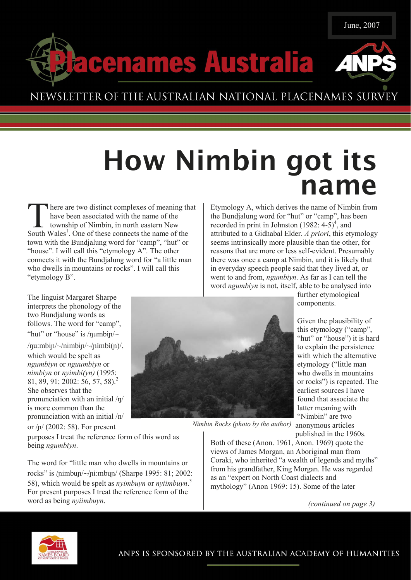



## NEWSLETTER OF THE AUSTRALIAN NATIONAL PLACENAMES SURVEY

cenames Australia

# How Nimbin got its name

There are two distinct complexes of meaning that have been associated with the name of the township of Nimbin, in north eastern New South Wales<sup>1</sup>. One of these connects the name of the have been associated with the name of the township of Nimbin, in north eastern New town with the Bundjalung word for "camp", "hut" or "house". I will call this "etymology A". The other connects it with the Bundjalung word for "a little man who dwells in mountains or rocks". I will call this "etymology B".

The linguist Margaret Sharpe interprets the phonology of the two Bundjalung words as follows. The word for "camp", "hut" or "house" is / $\eta$ umbi $\eta$ /~

 $/$ nu:mbin $/$ ~ $/$ nimbin $/$ ~ $/$ nimbi $($ n $)/$ , which would be spelt as ngumbiyn or nguumbiyn or nimbiyn or nyimbi(yn) (1995: 81, 89, 91; 2002: 56, 57, 58).<sup>2</sup> She observes that the pronunciation with an initial /ŋ/ is more common than the pronunciation with an initial /n/ or /ɲ/ (2002: 58). For present

purposes I treat the reference form of this word as being ngumbiyn.

The word for "little man who dwells in mountains or rocks" is /ɲimbuɲ/~/ɲi:mbuɲ/ (Sharpe 1995: 81; 2002: 58), which would be spelt as *nyimbuyn* or *nyiimbuyn*.<sup>3</sup> For present purposes I treat the reference form of the word as being nyiimbuyn.

Etymology A, which derives the name of Nimbin from the Bundjalung word for "hut" or "camp", has been recorded in print in Johnston  $(1982: 4-5)^4$ , and attributed to a Gidhabal Elder. A priori, this etymology seems intrinsically more plausible than the other, for reasons that are more or less self-evident. Presumably there was once a camp at Nimbin, and it is likely that in everyday speech people said that they lived at, or went to and from, ngumbiyn. As far as I can tell the word ngumbiyn is not, itself, able to be analysed into



further etymological components.

Given the plausibility of this etymology ("camp", "hut" or "house") it is hard to explain the persistence with which the alternative etymology ("little man who dwells in mountains or rocks") is repeated. The earliest sources I have found that associate the latter meaning with "Nimbin" are two

published in the 1960s.

Nimbin Rocks (photo by the author) anonymous articles

Both of these (Anon. 1961, Anon. 1969) quote the views of James Morgan, an Aboriginal man from Coraki, who inherited "a wealth of legends and myths" from his grandfather, King Morgan. He was regarded as an "expert on North Coast dialects and mythology" (Anon 1969: 15). Some of the later

(continued on page 3)

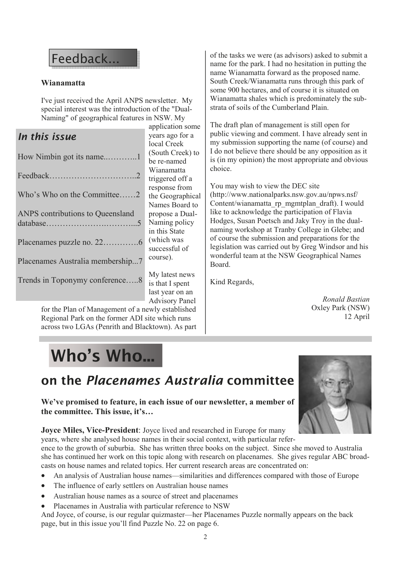## Feedback...

### Wianamatta

I've just received the April ANPS newsletter. My special interest was the introduction of the "Dual-Naming" of geographical features in NSW. My

## In this issue

| Who's Who on the Committee2      |  |  |  |  |
|----------------------------------|--|--|--|--|
| ANPS contributions to Queensland |  |  |  |  |
|                                  |  |  |  |  |
| Placenames Australia membership7 |  |  |  |  |
|                                  |  |  |  |  |
|                                  |  |  |  |  |

application some years ago for a local Creek (South Creek) to be re-named Wianamatta triggered off a response from the Geographical Names Board to propose a Dual-Naming policy in this State (which was successful of course).

My latest news is that I spent last year on an Advisory Panel

for the Plan of Management of a newly established Regional Park on the former ADI site which runs across two LGAs (Penrith and Blacktown). As part of the tasks we were (as advisors) asked to submit a name for the park. I had no hesitation in putting the name Wianamatta forward as the proposed name. South Creek/Wianamatta runs through this park of some 900 hectares, and of course it is situated on Wianamatta shales which is predominately the substrata of soils of the Cumberland Plain.

The draft plan of management is still open for public viewing and comment. I have already sent in my submission supporting the name (of course) and I do not believe there should be any opposition as it is (in my opinion) the most appropriate and obvious choice.

You may wish to view the DEC site (http://www.nationalparks.nsw.gov.au/npws.nsf/ Content/wianamatta\_rp\_mgmtplan\_draft). I would like to acknowledge the participation of Flavia Hodges, Susan Poetsch and Jaky Troy in the dualnaming workshop at Tranby College in Glebe; and of course the submission and preparations for the legislation was carried out by Greg Windsor and his wonderful team at the NSW Geographical Names Board.

Kind Regards,

Ronald Bastian Oxley Park (NSW) 12 April

# Who's Who...

## on the Placenames Australia committee

We've promised to feature, in each issue of our newsletter, a member of the committee. This issue, it's…

Joyce Miles, Vice-President: Joyce lived and researched in Europe for many

years, where she analysed house names in their social context, with particular refer-

ence to the growth of suburbia. She has written three books on the subject. Since she moved to Australia she has continued her work on this topic along with research on placenames. She gives regular ABC broadcasts on house names and related topics. Her current research areas are concentrated on:

- An analysis of Australian house names—similarities and differences compared with those of Europe
- The influence of early settlers on Australian house names
- Australian house names as a source of street and placenames
- Placenames in Australia with particular reference to NSW

And Joyce, of course, is our regular quizmaster—her Placenames Puzzle normally appears on the back page, but in this issue you'll find Puzzle No. 22 on page 6.

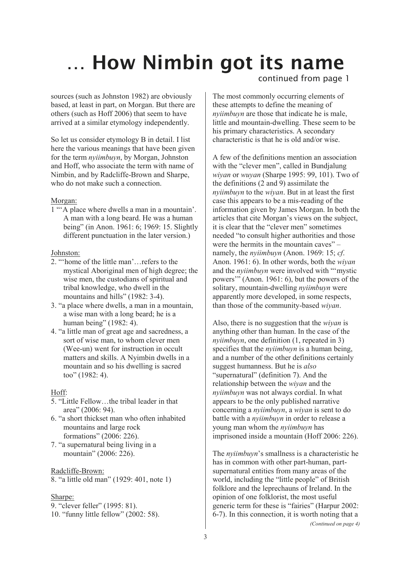# … How Nimbin got its name

sources (such as Johnston 1982) are obviously based, at least in part, on Morgan. But there are others (such as Hoff 2006) that seem to have arrived at a similar etymology independently.

So let us consider etymology B in detail. I list here the various meanings that have been given for the term nyiimbuyn, by Morgan, Johnston and Hoff, who associate the term with name of Nimbin, and by Radcliffe-Brown and Sharpe, who do not make such a connection.

### Morgan:

1 "'A place where dwells a man in a mountain'. A man with a long beard. He was a human being" (in Anon. 1961: 6; 1969: 15. Slightly different punctuation in the later version.)

### Johnston:

- 2. "'home of the little man'…refers to the mystical Aboriginal men of high degree; the wise men, the custodians of spiritual and tribal knowledge, who dwell in the mountains and hills" (1982: 3-4).
- 3. "a place where dwells, a man in a mountain, a wise man with a long beard; he is a human being" (1982: 4).
- 4. "a little man of great age and sacredness, a sort of wise man, to whom clever men (Wee-un) went for instruction in occult matters and skills. A Nyimbin dwells in a mountain and so his dwelling is sacred too" (1982: 4).

### Hoff:

- 5. "Little Fellow…the tribal leader in that area" (2006: 94).
- 6. "a short thickset man who often inhabited mountains and large rock formations" (2006: 226).
- 7. "a supernatural being living in a mountain" (2006: 226).

#### Radcliffe-Brown:

8. "a little old man" (1929: 401, note 1)

### Sharpe:

- 9. "clever feller" (1995: 81).
- 10. "funny little fellow" (2002: 58).

### continued from page 1

The most commonly occurring elements of these attempts to define the meaning of nyiimbuyn are those that indicate he is male, little and mountain-dwelling. These seem to be his primary characteristics. A secondary characteristic is that he is old and/or wise.

A few of the definitions mention an association with the "clever men", called in Bundjalung wiyan or wuyan (Sharpe 1995: 99, 101). Two of the definitions (2 and 9) assimilate the nyiimbuyn to the wiyan. But in at least the first case this appears to be a mis-reading of the information given by James Morgan. In both the articles that cite Morgan's views on the subject, it is clear that the "clever men" sometimes needed "to consult higher authorities and those were the hermits in the mountain caves" – namely, the *nyiimbuyn* (Anon. 1969: 15; *cf.* Anon. 1961: 6). In other words, both the wiyan and the nyiimbuyn were involved with "'mystic powers'" (Anon. 1961: 6), but the powers of the solitary, mountain-dwelling nyiimbuyn were apparently more developed, in some respects, than those of the community-based wiyan.

Also, there is no suggestion that the wiyan is anything other than human. In the case of the nyiimbuyn, one definition (1, repeated in 3) specifies that the *nyiimbuyn* is a human being, and a number of the other definitions certainly suggest humanness. But he is also "supernatural" (definition 7). And the relationship between the wiyan and the nyiimbuyn was not always cordial. In what appears to be the only published narrative concerning a nyiimbuyn, a wiyan is sent to do battle with a nyiimbuyn in order to release a young man whom the nyiimbuyn has imprisoned inside a mountain (Hoff 2006: 226).

The nyiimbuyn's smallness is a characteristic he has in common with other part-human, partsupernatural entities from many areas of the world, including the "little people" of British folklore and the leprechauns of Ireland. In the opinion of one folklorist, the most useful generic term for these is "fairies" (Harpur 2002: 6-7). In this connection, it is worth noting that a (Continued on page 4)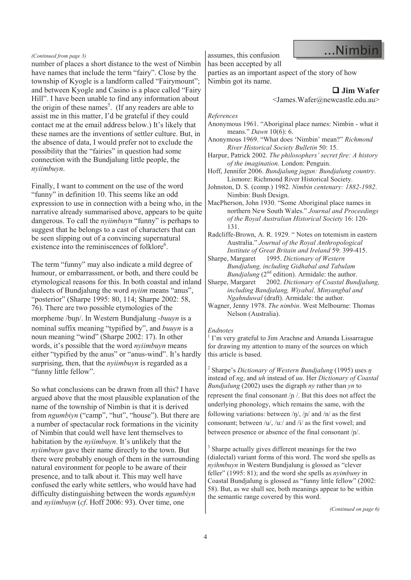#### (Continued from page 3)

number of places a short distance to the west of Nimbin have names that include the term "fairy". Close by the township of Kyogle is a landform called "Fairymount"; and between Kyogle and Casino is a place called "Fairy Hill". I have been unable to find any information about the origin of these names<sup>5</sup>. (If any readers are able to assist me in this matter, I'd be grateful if they could contact me at the email address below.) It's likely that these names are the inventions of settler culture. But, in the absence of data, I would prefer not to exclude the possibility that the "fairies" in question had some connection with the Bundjalung little people, the nyiimbuyn.

Finally, I want to comment on the use of the word "funny" in definition 10. This seems like an odd expression to use in connection with a being who, in the narrative already summarised above, appears to be quite dangerous. To call the *nyiimbuyn* "funny" is perhaps to suggest that he belongs to a cast of characters that can be seen slipping out of a convincing supernatural existence into the reminiscences of folklore<sup>6</sup>.

The term "funny" may also indicate a mild degree of humour, or embarrassment, or both, and there could be etymological reasons for this. In both coastal and inland dialects of Bundjalung the word *nyiim* means "anus", "posterior" (Sharpe 1995: 80, 114; Sharpe 2002: 58, 76). There are two possible etymologies of the morpheme /bun/. In Western Bundjalung -buuyn is a nominal suffix meaning "typified by", and buuyn is a noun meaning "wind" (Sharpe 2002: 17). In other words, it's possible that the word *nviimbuyn* means either "typified by the anus" or "anus-wind". It's hardly surprising, then, that the *nyiimbuyn* is regarded as a "funny little fellow".

So what conclusions can be drawn from all this? I have argued above that the most plausible explanation of the name of the township of Nimbin is that it is derived from ngumbiyn ("camp", "hut", "house"). But there are a number of spectacular rock formations in the vicinity of Nimbin that could well have lent themselves to habitation by the *nyiimbuyn*. It's unlikely that the nyiimbuyn gave their name directly to the town. But there were probably enough of them in the surrounding natural environment for people to be aware of their presence, and to talk about it. This may well have confused the early white settlers, who would have had difficulty distinguishing between the words ngumbiyn and nyiimbuyn (cf. Hoff 2006: 93). Over time, one

assumes, this confusion has been accepted by all

parties as an important aspect of the story of how Nimbin got its name.

### $\Box$  Jim Wafer

...Nimbin

<James.Wafer@newcastle.edu.au>

#### References

- Anonymous 1961. "Aboriginal place names: Nimbin what it means." Dawn 10(6): 6.
- Anonymous 1969. "What does 'Nimbin' mean?" Richmond River Historical Society Bulletin 50: 15.
- Harpur, Patrick 2002. The philosophers' secret fire: A history of the imagination. London: Penguin.
- Hoff, Jennifer 2006. Bundjalung jugun: Bundjalung country. Lismore: Richmond River Historical Society.
- Johnston, D. S. (comp.) 1982. Nimbin centenary: 1882-1982. Nimbin: Bush Design.

MacPherson, John 1930. "Some Aboriginal place names in northern New South Wales." Journal and Proceedings of the Royal Australian Historical Society 16: 120- 131.

Radcliffe-Brown, A. R. 1929. " Notes on totemism in eastern Australia." Journal of the Royal Anthropological Institute of Great Britain and Ireland 59: 399-415.

Sharpe, Margaret 1995. Dictionary of Western Bundjalung, including Gidhabal and Tabulam Bundjalung  $(2<sup>nd</sup>$  edition). Armidale: the author.

Sharpe, Margaret 2002. Dictionary of Coastal Bundjalung, including Bandjalang, Wiyabal, Minyangbal and Ngahnduwal (draft). Armidale: the author.

Wagner, Jenny 1978. The nimbin. West Melbourne: Thomas Nelson (Australia).

#### Endnotes

<sup>1</sup> I'm very grateful to Jim Arachne and Amanda Lissarrague for drawing my attention to many of the sources on which this article is based.

<sup>2</sup> Sharpe's Dictionary of Western Bundjalung (1995) uses  $\eta$ instead of ng, and uh instead of uu. Her Dictionary of Coastal *Bundjalung* (2002) uses the digraph *ny* rather than yn to represent the final consonant /ɲ /. But this does not affect the underlying phonology, which remains the same, with the following variations: between  $/\eta$ ,  $/\eta$  and  $/\eta$  as the first consonant; between /u/, /u:/ and /i/ as the first vowel; and between presence or absence of the final consonant /ɲ/.

<sup>3</sup> Sharpe actually gives different meanings for the two (dialectal) variant forms of this word. The word she spells as nyihmbuyn in Western Bundjalung is glossed as "clever feller" (1995: 81); and the word she spells as *nyimbuny* in Coastal Bundjalung is glossed as "funny little fellow" (2002: 58). But, as we shall see, both meanings appear to be within the semantic range covered by this word.

(Continued on page 6)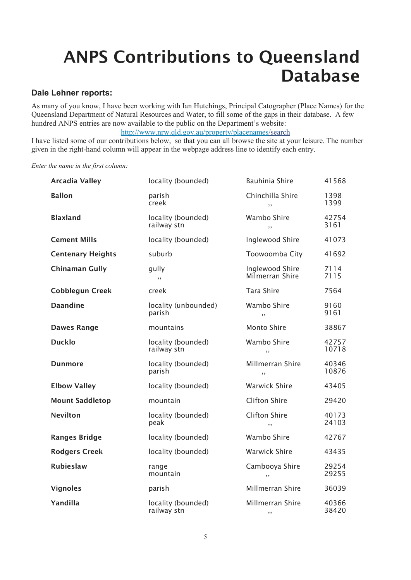# ANPS Contributions to Queensland Database

### Dale Lehner reports:

As many of you know, I have been working with Ian Hutchings, Principal Catographer (Place Names) for the Queensland Department of Natural Resources and Water, to fill some of the gaps in their database. A few hundred ANPS entries are now available to the public on the Department's website:

http://www.nrw.qld.gov.au/property/placenames/search

I have listed some of our contributions below, so that you can all browse the site at your leisure. The number given in the right-hand column will appear in the webpage address line to identify each entry.

Enter the name in the first column:

| <b>Arcadia Valley</b>    | locality (bounded)                | <b>Bauhinia Shire</b>              | 41568          |
|--------------------------|-----------------------------------|------------------------------------|----------------|
| <b>Ballon</b>            | parish<br>creek                   | Chinchilla Shire<br>, ,            | 1398<br>1399   |
| <b>Blaxland</b>          | locality (bounded)<br>railway stn | Wambo Shire<br>, ,                 | 42754<br>3161  |
| <b>Cement Mills</b>      | locality (bounded)                | Inglewood Shire                    | 41073          |
| <b>Centenary Heights</b> | suburb                            | Toowoomba City                     | 41692          |
| <b>Chinaman Gully</b>    | gully<br>, ,                      | Inglewood Shire<br>Milmerran Shire | 7114<br>7115   |
| <b>Cobblegun Creek</b>   | creek                             | <b>Tara Shire</b>                  | 7564           |
| <b>Daandine</b>          | locality (unbounded)<br>parish    | Wambo Shire<br>,,                  | 9160<br>9161   |
| <b>Dawes Range</b>       | mountains                         | <b>Monto Shire</b>                 | 38867          |
| <b>Ducklo</b>            | locality (bounded)<br>railway stn | Wambo Shire<br>, ,                 | 42757<br>10718 |
| <b>Dunmore</b>           | locality (bounded)<br>parish      | Millmerran Shire<br>, ,            | 40346<br>10876 |
| <b>Elbow Valley</b>      | locality (bounded)                | <b>Warwick Shire</b>               | 43405          |
| <b>Mount Saddletop</b>   | mountain                          | <b>Clifton Shire</b>               | 29420          |
| <b>Nevilton</b>          | locality (bounded)<br>peak        | <b>Clifton Shire</b><br>, ,        | 40173<br>24103 |
| <b>Ranges Bridge</b>     | locality (bounded)                | Wambo Shire                        | 42767          |
| <b>Rodgers Creek</b>     | locality (bounded)                | Warwick Shire                      | 43435          |
| <b>Rubieslaw</b>         | range<br>mountain                 | Cambooya Shire<br>, ,              | 29254<br>29255 |
| <b>Vignoles</b>          | parish                            | Millmerran Shire                   | 36039          |
| Yandilla                 | locality (bounded)<br>railway stn | Millmerran Shire<br>, ,            | 40366<br>38420 |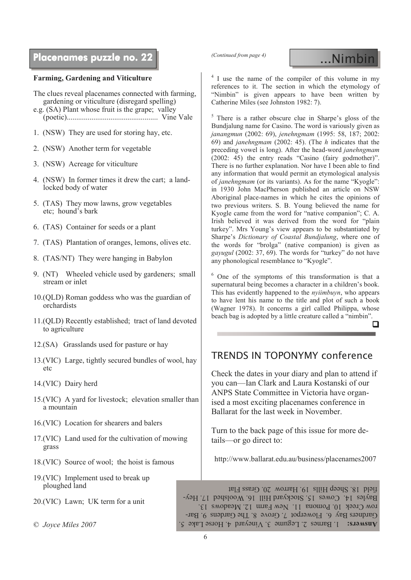## Placenames puzzle no. 22 **puzzle no. 22 puzzle no. 22 puzzle no. 32** puzzle no. 1 puzzle no. 1 puzzle no. 1 puzz

### Farming, Gardening and Viticulture

The clues reveal placenames connected with farming, gardening or viticulture (disregard spelling)

- e.g. (SA) Plant whose fruit is the grape; valley (poetic)................................................ Vine Vale
- 1. (NSW) They are used for storing hay, etc.
- 2. (NSW) Another term for vegetable
- 3. (NSW) Acreage for viticulture
- 4. (NSW) In former times it drew the cart; a landlocked body of water
- 5. (TAS) They mow lawns, grow vegetables etc; hound's bark
- 6. (TAS) Container for seeds or a plant
- 7. (TAS) Plantation of oranges, lemons, olives etc.
- 8. (TAS/NT) They were hanging in Babylon
- 9. (NT) Wheeled vehicle used by gardeners; small stream or inlet
- 10.(QLD) Roman goddess who was the guardian of orchardists
- 11.(QLD) Recently established; tract of land devoted to agriculture
- 12.(SA) Grasslands used for pasture or hay
- 13.(VIC) Large, tightly secured bundles of wool, hay  $_{\text{etc}}$
- 14.(VIC) Dairy herd
- 15.(VIC) A yard for livestock; elevation smaller than a mountain
- 16.(VIC) Location for shearers and balers
- 17.(VIC) Land used for the cultivation of mowing grass
- 18.(VIC) Source of wool; the hoist is famous
- 19.(VIC) Implement used to break up ploughed land
- 20.(VIC) Lawn; UK term for a unit

<sup>4</sup> I use the name of the compiler of this volume in my references to it. The section in which the etymology of "Nimbin" is given appears to have been written by Catherine Miles (see Johnston 1982: 7).

5 There is a rather obscure clue in Sharpe's gloss of the Bundjalung name for Casino. The word is variously given as janangmun (2002: 69), jenehngmam (1995: 58, 187; 2002: 69) and janehngmam (2002: 45). (The h indicates that the preceding vowel is long). After the head-word janehngmam (2002: 45) the entry reads "Casino (fairy godmother)". There is no further explanation. Nor have I been able to find any information that would permit an etymological analysis of janehngmam (or its variants). As for the name "Kyogle": in 1930 John MacPherson published an article on NSW Aboriginal place-names in which he cites the opinions of two previous writers. S. B. Young believed the name for Kyogle came from the word for "native companion"; C. A. Irish believed it was derived from the word for "plain turkey". Mrs Young's view appears to be substantiated by Sharpe's Dictionary of Coastal Bundjalung, where one of the words for "brolga" (native companion) is given as gayugul (2002: 37, 69). The words for "turkey" do not have any phonological resemblance to "Kyogle".

6 One of the symptoms of this transformation is that a supernatural being becomes a character in a children's book. This has evidently happened to the nyiimbuyn, who appears to have lent his name to the title and plot of such a book (Wagner 1978). It concerns a girl called Philippa, whose beach bag is adopted by a little creature called a "nimbin".  $\Box$ 

### TRENDS IN TOPONYMY conference

Check the dates in your diary and plan to attend if you can—Ian Clark and Laura Kostanski of our ANPS State Committee in Victoria have organised a most exciting placenames conference in Ballarat for the last week in November.

Turn to the back page of this issue for more details—or go direct to:

http://www.ballarat.edu.au/business/placenames2007

 $\circ$  Joyce Miles 2007 1. Barnes 2. Legume 3. Vineyard 4. Horse Lake  $\circ$  Solution 3. And  $\circ$  Answers:  $\circ$  Answers:  $\circ$  Answers:  $\circ$  Answers:  $\circ$  Answers:  $\circ$  Answers:  $\circ$  Answers:  $\circ$  Answers:  $\circ$  Answers:  $\circ$  A Gardners Bay 6. Flowerpot 7. Grove 8. The Gardens 9. Barrow Creek 10. Pomona 11. New Farm 12. Meadows 13. Bayles 14. Cowes 15. Stockyard Hill 16. Woolshed 17. Heyfield 18. Sheep Hills 19. Harrow 20. Grass Flat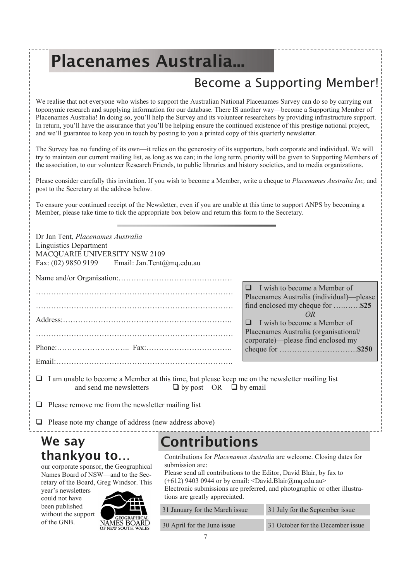# Placenames Australia...

## Become a Supporting Member!

We realise that not everyone who wishes to support the Australian National Placenames Survey can do so by carrying out toponymic research and supplying information for our database. There IS another way—become a Supporting Member of Placenames Australia! In doing so, you'll help the Survey and its volunteer researchers by providing infrastructure support. In return, you'll have the assurance that you'll be helping ensure the continued existence of this prestige national project, and we'll guarantee to keep you in touch by posting to you a printed copy of this quarterly newsletter.

The Survey has no funding of its own—it relies on the generosity of its supporters, both corporate and individual. We will try to maintain our current mailing list, as long as we can; in the long term, priority will be given to Supporting Members of the association, to our volunteer Research Friends, to public libraries and history societies, and to media organizations.

Please consider carefully this invitation. If you wish to become a Member, write a cheque to *Placenames Australia Inc*, and post to the Secretary at the address below.

To ensure your continued receipt of the Newsletter, even if you are unable at this time to support ANPS by becoming a Member, please take time to tick the appropriate box below and return this form to the Secretary.

| Dr Jan Tent, Placenames Australia<br><b>Linguistics Department</b><br>MACQUARIE UNIVERSITY NSW 2109<br>Fax: (02) 9850 9199 Email: Jan.Tent@mq.edu.au                                                                                            |                      |                                                                                                                                              |  |  |  |
|-------------------------------------------------------------------------------------------------------------------------------------------------------------------------------------------------------------------------------------------------|----------------------|----------------------------------------------------------------------------------------------------------------------------------------------|--|--|--|
|                                                                                                                                                                                                                                                 |                      | $\Box$<br>I wish to become a Member of                                                                                                       |  |  |  |
|                                                                                                                                                                                                                                                 |                      | Placenames Australia (individual)—please<br>find enclosed my cheque for \$25<br>OR                                                           |  |  |  |
|                                                                                                                                                                                                                                                 |                      | I wish to become a Member of<br>◻<br>Placenames Australia (organisational/                                                                   |  |  |  |
|                                                                                                                                                                                                                                                 |                      | corporate)—please find enclosed my                                                                                                           |  |  |  |
|                                                                                                                                                                                                                                                 |                      |                                                                                                                                              |  |  |  |
| I am unable to become a Member at this time, but please keep me on the newsletter mailing list<br>and send me newsletters<br>$\Box$ by post OR $\Box$ by email                                                                                  |                      |                                                                                                                                              |  |  |  |
| Please remove me from the newsletter mailing list                                                                                                                                                                                               |                      |                                                                                                                                              |  |  |  |
| $\Box$ Please note my change of address (new address above)                                                                                                                                                                                     |                      |                                                                                                                                              |  |  |  |
| We say                                                                                                                                                                                                                                          | <b>Contributions</b> |                                                                                                                                              |  |  |  |
| thankyou to<br>our corporate sponsor, the Geographical<br>$\mathbf{M}_{\text{max}}$ $\mathbf{D}_{\text{max}}$ $\mathbf{J}_{\text{max}}$ $\mathbf{M}_{\text{max}}$ $\mathbf{M}_{\text{max}}$ $\mathbf{M}_{\text{max}}$ $\mathbf{D}_{\text{max}}$ | submission are:      | Contributions for Placenames Australia are welcome. Closing dates for<br>Please send all contributions to the Editor. David Blair, by fax to |  |  |  |

Names Board of NSW—and to the Secretary of the Board, Greg Windsor. This

year's newsletters could not have been published without the support of the GNB.



contributions to the Editor, David Blair, by  $(+612)$  9403 0944 or by email: <David.Blair@mq.edu.au> Electronic submissions are preferred, and photographic or other illustrations are greatly appreciated.

| 31 January for the March issue | 31 July for the September issue   |
|--------------------------------|-----------------------------------|
| 30 April for the June issue    | 31 October for the December issue |